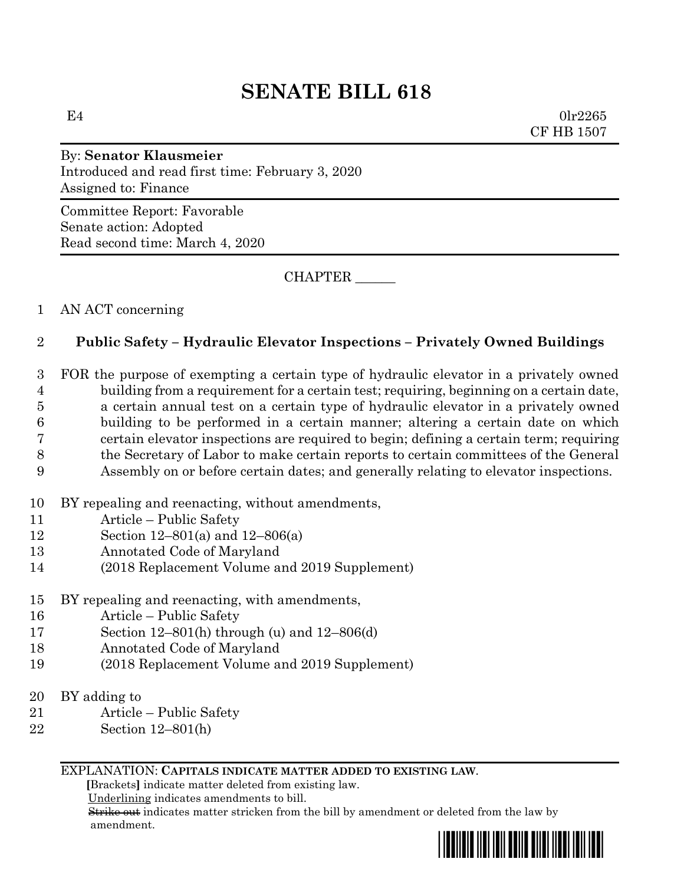# **SENATE BILL 618**

 $E4$  0lr2265 CF HB 1507

## By: **Senator Klausmeier** Introduced and read first time: February 3, 2020 Assigned to: Finance

Committee Report: Favorable Senate action: Adopted Read second time: March 4, 2020

CHAPTER \_\_\_\_\_\_

## 1 AN ACT concerning

## 2 **Public Safety – Hydraulic Elevator Inspections – Privately Owned Buildings**

 FOR the purpose of exempting a certain type of hydraulic elevator in a privately owned building from a requirement for a certain test; requiring, beginning on a certain date, a certain annual test on a certain type of hydraulic elevator in a privately owned building to be performed in a certain manner; altering a certain date on which certain elevator inspections are required to begin; defining a certain term; requiring the Secretary of Labor to make certain reports to certain committees of the General

- 9 Assembly on or before certain dates; and generally relating to elevator inspections.
- 10 BY repealing and reenacting, without amendments,
- 11 Article Public Safety
- 12 Section 12–801(a) and 12–806(a)
- 13 Annotated Code of Maryland
- 14 (2018 Replacement Volume and 2019 Supplement)
- 15 BY repealing and reenacting, with amendments,
- 16 Article Public Safety
- 17 Section 12–801(h) through (u) and 12–806(d)
- 18 Annotated Code of Maryland
- 19 (2018 Replacement Volume and 2019 Supplement)
- 20 BY adding to
- 21 Article Public Safety
- 22 Section 12–801(h)

#### EXPLANATION: **CAPITALS INDICATE MATTER ADDED TO EXISTING LAW**.

 **[**Brackets**]** indicate matter deleted from existing law.

Underlining indicates amendments to bill.

 Strike out indicates matter stricken from the bill by amendment or deleted from the law by amendment.

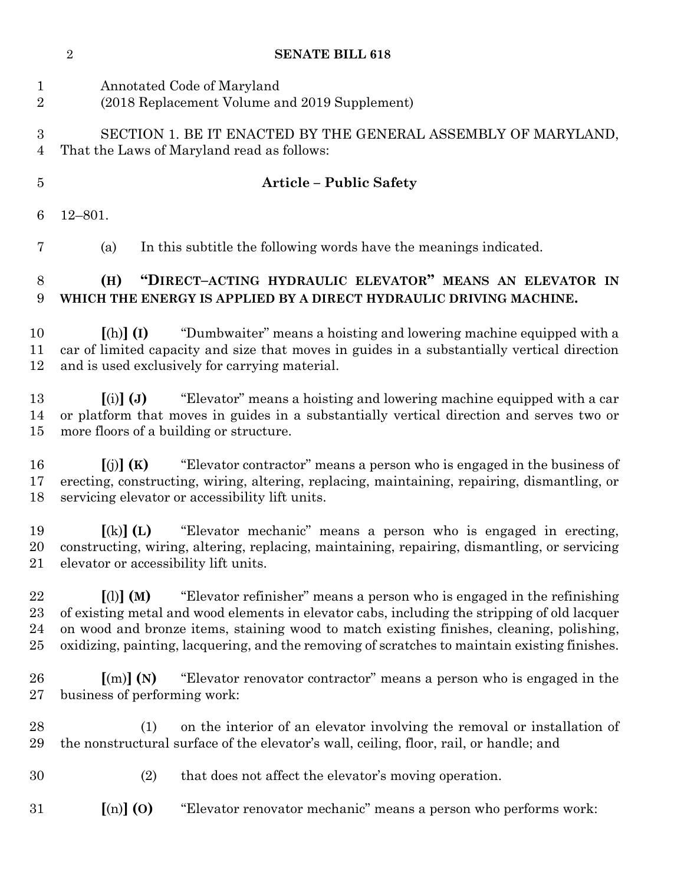|                                | $\sqrt{2}$<br><b>SENATE BILL 618</b>                                                                                                                                                                                                                                                                                                                                                             |  |
|--------------------------------|--------------------------------------------------------------------------------------------------------------------------------------------------------------------------------------------------------------------------------------------------------------------------------------------------------------------------------------------------------------------------------------------------|--|
| $\mathbf{1}$<br>$\overline{2}$ | Annotated Code of Maryland<br>(2018 Replacement Volume and 2019 Supplement)                                                                                                                                                                                                                                                                                                                      |  |
| 3<br>$\overline{4}$            | SECTION 1. BE IT ENACTED BY THE GENERAL ASSEMBLY OF MARYLAND,<br>That the Laws of Maryland read as follows:                                                                                                                                                                                                                                                                                      |  |
| $\overline{5}$                 | <b>Article - Public Safety</b>                                                                                                                                                                                                                                                                                                                                                                   |  |
| 6                              | $12 - 801.$                                                                                                                                                                                                                                                                                                                                                                                      |  |
| 7                              | In this subtitle the following words have the meanings indicated.<br>(a)                                                                                                                                                                                                                                                                                                                         |  |
| 8<br>9                         | "DIRECT-ACTING HYDRAULIC ELEVATOR" MEANS AN ELEVATOR IN<br>(H)<br>WHICH THE ENERGY IS APPLIED BY A DIRECT HYDRAULIC DRIVING MACHINE.                                                                                                                                                                                                                                                             |  |
| 10<br>11<br>12                 | "Dumbwaiter" means a hoisting and lowering machine equipped with a<br>$[(h)]$ $(I)$<br>car of limited capacity and size that moves in guides in a substantially vertical direction<br>and is used exclusively for carrying material.                                                                                                                                                             |  |
| 13<br>14<br>$15\,$             | "Elevator" means a hoisting and lowering machine equipped with a car<br>$(i)$ $(j)$<br>or platform that moves in guides in a substantially vertical direction and serves two or<br>more floors of a building or structure.                                                                                                                                                                       |  |
| 16<br>17<br>18                 | "Elevator contractor" means a person who is engaged in the business of<br>[(j)](K)<br>erecting, constructing, wiring, altering, replacing, maintaining, repairing, dismantling, or<br>servicing elevator or accessibility lift units.                                                                                                                                                            |  |
| 19<br>$21\,$                   | "Elevator mechanic" means a person who is engaged in erecting,<br>$\left[ \mathrm{(k)}\right]$ (L)<br>20 constructing, wiring, altering, replacing, maintaining, repairing, dismantling, or servicing<br>elevator or accessibility lift units.                                                                                                                                                   |  |
| 22<br>23<br>24<br>25           | $\lceil$ (1) $\lceil$ (M)<br>"Elevator refinisher" means a person who is engaged in the refinishing<br>of existing metal and wood elements in elevator cabs, including the stripping of old lacquer<br>on wood and bronze items, staining wood to match existing finishes, cleaning, polishing,<br>oxidizing, painting, lacquering, and the removing of scratches to maintain existing finishes. |  |
| 26<br>$27\,$                   | "Elevator renovator contractor" means a person who is engaged in the<br>$\lceil$ (m) $\rceil$ (N)<br>business of performing work:                                                                                                                                                                                                                                                                |  |
| 28<br>29                       | on the interior of an elevator involving the removal or installation of<br>(1)<br>the nonstructural surface of the elevator's wall, ceiling, floor, rail, or handle; and                                                                                                                                                                                                                         |  |
| 30                             | (2)<br>that does not affect the elevator's moving operation.                                                                                                                                                                                                                                                                                                                                     |  |
| $31\,$                         | $\left[\text{(n)}\right]$ (O)<br>"Elevator renovator mechanic" means a person who performs work:                                                                                                                                                                                                                                                                                                 |  |
|                                |                                                                                                                                                                                                                                                                                                                                                                                                  |  |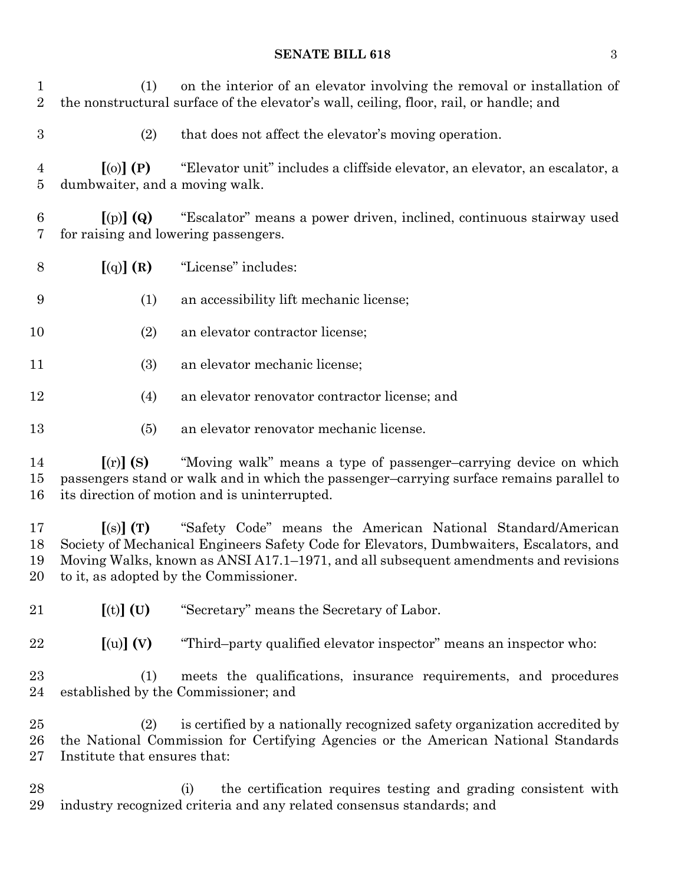### **SENATE BILL 618** 3

 (1) on the interior of an elevator involving the removal or installation of the nonstructural surface of the elevator's wall, ceiling, floor, rail, or handle; and

(2) that does not affect the elevator's moving operation.

 **[**(o)**] (P)** "Elevator unit" includes a cliffside elevator, an elevator, an escalator, a dumbwaiter, and a moving walk.

 **[**(p)**] (Q)** "Escalator" means a power driven, inclined, continuous stairway used for raising and lowering passengers.

- **[**(q)**] (R)** "License" includes:
- (1) an accessibility lift mechanic license;
- (2) an elevator contractor license;
- (3) an elevator mechanic license;
- (4) an elevator renovator contractor license; and
- (5) an elevator renovator mechanic license.

 **[**(r)**] (S)** "Moving walk" means a type of passenger–carrying device on which passengers stand or walk and in which the passenger–carrying surface remains parallel to its direction of motion and is uninterrupted.

 **[**(s)**] (T)** "Safety Code" means the American National Standard/American Society of Mechanical Engineers Safety Code for Elevators, Dumbwaiters, Escalators, and Moving Walks, known as ANSI A17.1–1971, and all subsequent amendments and revisions to it, as adopted by the Commissioner.

**[**(t)**] (U)** "Secretary" means the Secretary of Labor.

**[**(u)**] (V)** "Third–party qualified elevator inspector" means an inspector who:

 (1) meets the qualifications, insurance requirements, and procedures established by the Commissioner; and

 (2) is certified by a nationally recognized safety organization accredited by the National Commission for Certifying Agencies or the American National Standards Institute that ensures that:

 (i) the certification requires testing and grading consistent with industry recognized criteria and any related consensus standards; and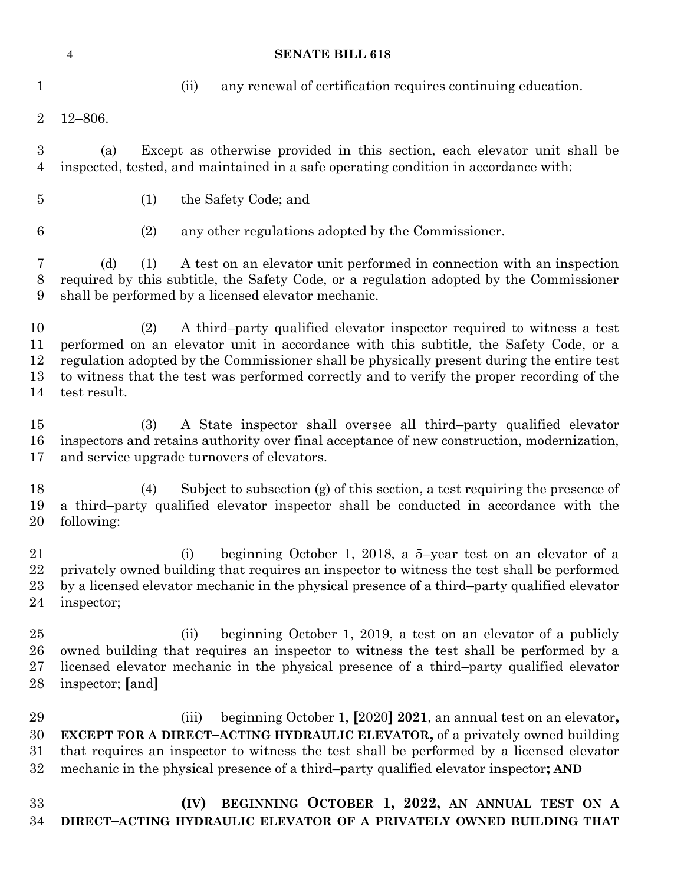|                            | <b>SENATE BILL 618</b><br>$\overline{4}$                                                                                                                                                                                                                                                                                                                                         |
|----------------------------|----------------------------------------------------------------------------------------------------------------------------------------------------------------------------------------------------------------------------------------------------------------------------------------------------------------------------------------------------------------------------------|
| $\mathbf{1}$               | (ii)<br>any renewal of certification requires continuing education.                                                                                                                                                                                                                                                                                                              |
| $\overline{2}$             | $12 - 806.$                                                                                                                                                                                                                                                                                                                                                                      |
| 3<br>4                     | Except as otherwise provided in this section, each elevator unit shall be<br>(a)<br>inspected, tested, and maintained in a safe operating condition in accordance with:                                                                                                                                                                                                          |
| $\overline{5}$             | (1)<br>the Safety Code; and                                                                                                                                                                                                                                                                                                                                                      |
| 6                          | (2)<br>any other regulations adopted by the Commissioner.                                                                                                                                                                                                                                                                                                                        |
| 7<br>$8\,$<br>9            | A test on an elevator unit performed in connection with an inspection<br>(d)<br>(1)<br>required by this subtitle, the Safety Code, or a regulation adopted by the Commissioner<br>shall be performed by a licensed elevator mechanic.                                                                                                                                            |
| 10<br>11<br>12<br>13<br>14 | A third-party qualified elevator inspector required to witness a test<br>(2)<br>performed on an elevator unit in accordance with this subtitle, the Safety Code, or a<br>regulation adopted by the Commissioner shall be physically present during the entire test<br>to witness that the test was performed correctly and to verify the proper recording of the<br>test result. |
| $15\,$<br>16<br>17         | A State inspector shall oversee all third-party qualified elevator<br>(3)<br>inspectors and retains authority over final acceptance of new construction, modernization,<br>and service upgrade turnovers of elevators.                                                                                                                                                           |
| 18<br>19<br>20             | Subject to subsection $(g)$ of this section, a test requiring the presence of<br>(4)<br>a third-party qualified elevator inspector shall be conducted in accordance with the<br>following:                                                                                                                                                                                       |
| 21<br>22<br>$23\,$<br>24   | beginning October 1, 2018, a 5-year test on an elevator of a<br>(i)<br>privately owned building that requires an inspector to witness the test shall be performed<br>by a licensed elevator mechanic in the physical presence of a third-party qualified elevator<br>inspector;                                                                                                  |
| 25<br>26<br>$27\,$<br>28   | (ii)<br>beginning October 1, 2019, a test on an elevator of a publicly<br>owned building that requires an inspector to witness the test shall be performed by a<br>licensed elevator mechanic in the physical presence of a third-party qualified elevator<br>inspector; [and]                                                                                                   |
|                            |                                                                                                                                                                                                                                                                                                                                                                                  |

 (iii) beginning October 1, **[**2020**] 2021**, an annual test on an elevator**, EXCEPT FOR A DIRECT–ACTING HYDRAULIC ELEVATOR,** of a privately owned building that requires an inspector to witness the test shall be performed by a licensed elevator mechanic in the physical presence of a third–party qualified elevator inspector**; AND**

 **(IV) BEGINNING OCTOBER 1, 2022, AN ANNUAL TEST ON A DIRECT–ACTING HYDRAULIC ELEVATOR OF A PRIVATELY OWNED BUILDING THAT**